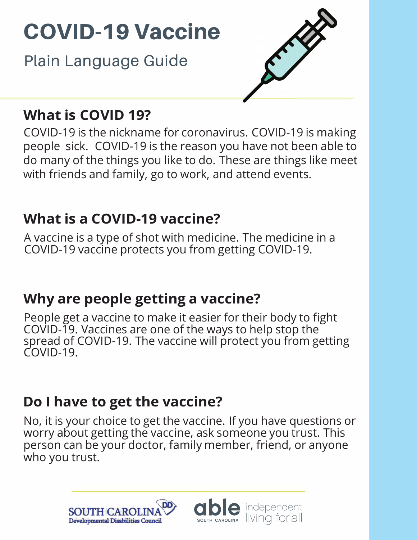Plain Language Guide



### **What is COVID 19?**

COVID-19 is the nickname for coronavirus. COVID-19 is making people sick. COVID-19 is the reason you have not been able to do many of the things you like to do. These are things like meet with friends and family, go to work, and attend events.

## **What is a COVID-19 vaccine?**

A vaccine is a type of shot with medicine. The medicine in a COVID-19 vaccine protects you from getting COVID-19.

## **Why are people getting a vaccine?**

People get a vaccine to make it easier for their body to fight COVID-19. Vaccines are one of the ways to help stop the spread of COVID-19. The vaccine will protect you from getting COVID-19.

## **Do I have to get the vaccine?**

No, it is your choice to get the vaccine. If you have questions or worry about getting the vaccine, ask someone you trust. This person can be your doctor, family member, friend, or anyone who you trust.

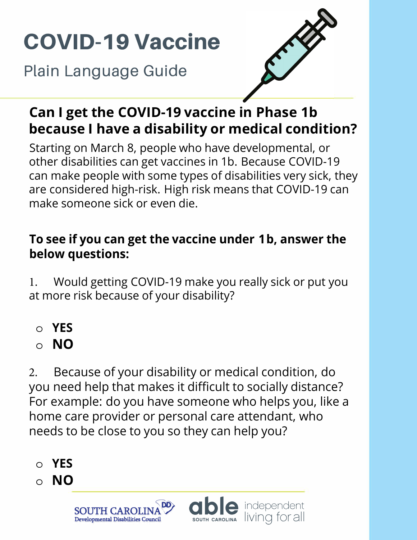Plain Language Guide



### **Can I get the COVID-19 vaccine in Phase 1b because I have a disability or medical condition?**

Starting on March 8, people who have developmental, or other disabilities can get vaccines in 1b. Because COVID-19 can make people with some types of disabilities very sick, they are considered high-risk. High risk means that COVID-19 can make someone sick or even die.

#### **To see if you can get the vaccine under 1 b, answer the below questions:**

1. Would getting COVID-19 make you really sick or put you at more risk because of your disability?

- **o YES**
- **o NO**

2. Because of your disability or medical condition, do you need help that makes it difficult to socially distance? For example: do you have someone who helps you, like a home care provider or personal care attendant, who needs to be close to you so they can help you?

- **o YES**
- **o NO**

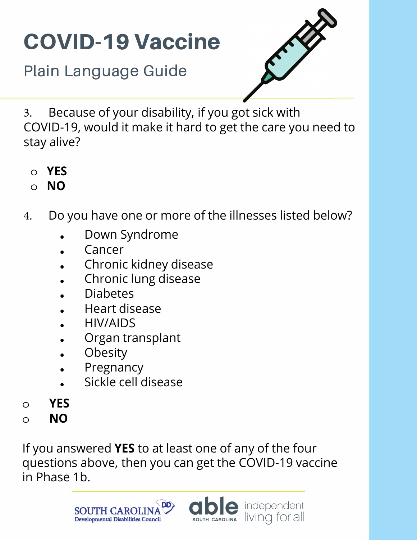Plain Language Guide



3. Because of your disability, if you got sick with COVID-19, would it make it hard to get the care you need to stay alive?

- **o YES**
- **o NO**
- 4. Do you have one or more of the illnesses listed below?
	- Down Syndrome
	- **Cancer**
	- Chronic kidney disease
	- Chronic lung disease
	- Diabetes
	- Heart disease
	- HIV/AIDS
	- Organ transplant
	- **Obesity**
	- **Pregnancy**
	- Sickle cell disease
- o **YES**
- o **NO**

If you answered **YES** to at least one of any of the four questions above, then you can get the COVID-19 vaccine in Phase 1b.



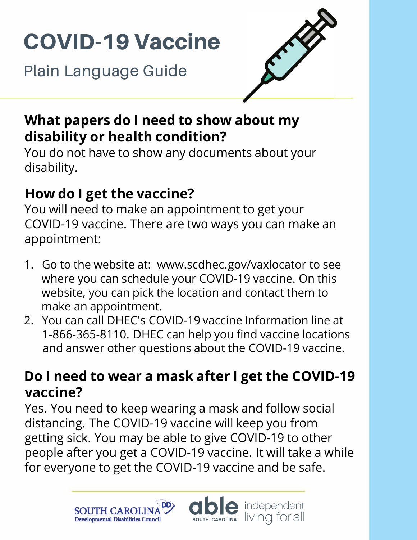**Plain Language Guide** 



### **What papers do I need to show about my disability or health condition?**

You do not have to show any documents about your disability.

## **How do I get the vaccine?**

You will need to make an appointment to get your COVID-19 vaccine. There are two ways you can make an appointment:

- 1. Go to the website at: <www.scdhec.gov/vaxlocator>to see where you can schedule your COVID-19 vaccine. On this website, you can pick the location and contact them to make an appointment.
- 2. You can call DHEC's COVID-19 vaccine Information line at 1-866-365-8110. DHEC can help you find vaccine locations and answer other questions about the COVID-19 vaccine.

### **Do I need to wear a mask after I get the COVID-19 vaccine?**

Yes. You need to keep wearing a mask and follow social distancing. The COVID-19 vaccine will keep you from getting sick. You may be able to give COVID-19 to other people after you get a COVID-19 vaccine. It will take a while for everyone to get the COVID-19 vaccine and be safe.